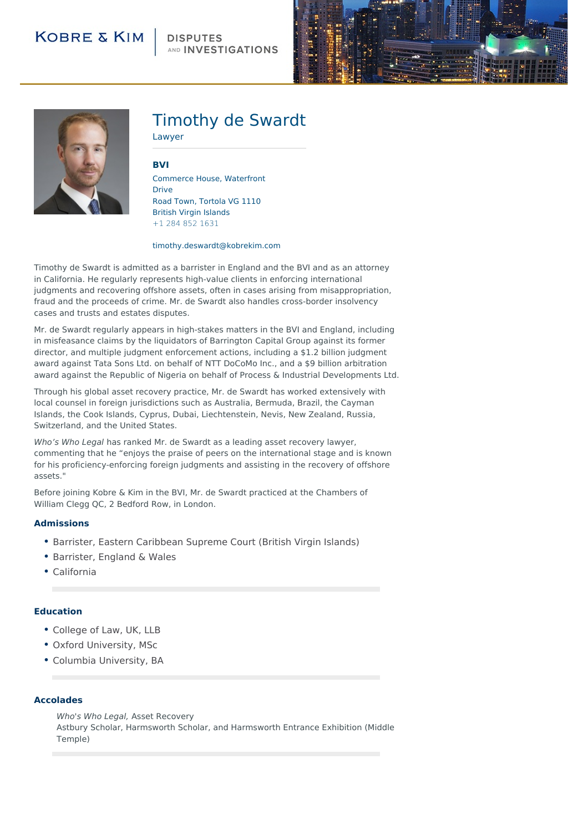### **DISPUTES** AND **INVESTIGATIONS**





# Timothy de Swardt

Lawyer

**[BVI](http://104.130.141.44/locations/british-virgin-islands)**

Commerce House, Waterfront Drive Road Town, Tortola VG 1110 British Virgin Islands +1 284 852 1631

#### timothy.deswardt@kobrekim.com

Timothy de Swardt is admitted as a barrister in England and the BVI and as an attorney in California. He regularly represents high-value clients in enforcing international judgments and recovering offshore assets, often in cases arising from misappropriation, fraud and the proceeds of crime. Mr. de Swardt also handles cross-border insolvency cases and trusts and estates disputes.

Mr. de Swardt regularly appears in high-stakes matters in the BVI and England, including in misfeasance claims by the liquidators of Barrington Capital Group against its former director, and multiple judgment enforcement actions, including a \$1.2 billion judgment award against Tata Sons Ltd. on behalf of NTT DoCoMo Inc., and a \$9 billion arbitration award against the Republic of Nigeria on behalf of Process & Industrial Developments Ltd.

Through his global asset recovery practice, Mr. de Swardt has worked extensively with local counsel in foreign jurisdictions such as Australia, Bermuda, Brazil, the Cayman Islands, the Cook Islands, Cyprus, Dubai, Liechtenstein, Nevis, New Zealand, Russia, Switzerland, and the United States.

Who's Who Legal has ranked Mr. de Swardt as a leading asset recovery lawyer, commenting that he "enjoys the praise of peers on the international stage and is known for his proficiency-enforcing foreign judgments and assisting in the recovery of offshore assets."

Before joining Kobre & Kim in the BVI, Mr. de Swardt practiced at the Chambers of William Clegg OC, 2 Bedford Row, in London.

#### **Admissions**

- Barrister, Eastern Caribbean Supreme Court (British Virgin Islands)
- Barrister, England & Wales
- California

#### **Education**

- College of Law, UK, LLB
- Oxford University, MSc
- Columbia University, BA

#### **Accolades**

Who's Who Legal, Asset Recovery Astbury Scholar, Harmsworth Scholar, and Harmsworth Entrance Exhibition (Middle Temple)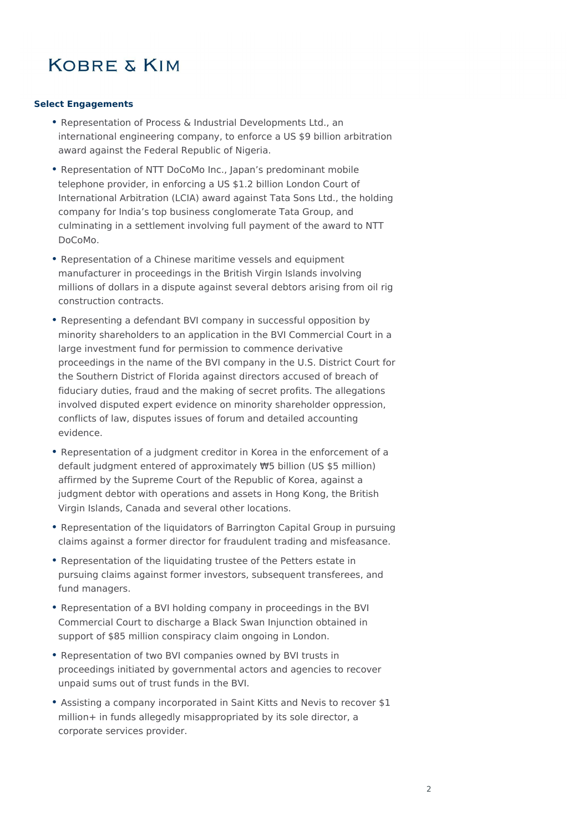### **Select Engagements**

- Representation of Process & Industrial Developments Ltd., an international engineering company, to enforce a US \$9 billion arbitration award against the Federal Republic of Nigeria.
- Representation of NTT DoCoMo Inc., Japan's predominant mobile telephone provider, in enforcing a US \$1.2 billion London Court of International Arbitration (LCIA) award against Tata Sons Ltd., the holding company for India's top business conglomerate Tata Group, and culminating in a settlement involving full payment of the award to NTT DoCoMo.
- Representation of a Chinese maritime vessels and equipment manufacturer in proceedings in the British Virgin Islands involving millions of dollars in a dispute against several debtors arising from oil rig construction contracts.
- Representing a defendant BVI company in successful opposition by minority shareholders to an application in the BVI Commercial Court in a large investment fund for permission to commence derivative proceedings in the name of the BVI company in the U.S. District Court for the Southern District of Florida against directors accused of breach of fiduciary duties, fraud and the making of secret profits. The allegations involved disputed expert evidence on minority shareholder oppression, conflicts of law, disputes issues of forum and detailed accounting evidence.
- Representation of a judgment creditor in Korea in the enforcement of a default judgment entered of approximately ₩5 billion (US \$5 million) affirmed by the Supreme Court of the Republic of Korea, against a judgment debtor with operations and assets in Hong Kong, the British Virgin Islands, Canada and several other locations.
- Representation of the liquidators of Barrington Capital Group in pursuing claims against a former director for fraudulent trading and misfeasance.
- Representation of the liquidating trustee of the Petters estate in pursuing claims against former investors, subsequent transferees, and fund managers.
- Representation of a BVI holding company in proceedings in the BVI Commercial Court to discharge a Black Swan Injunction obtained in support of \$85 million conspiracy claim ongoing in London.
- Representation of two BVI companies owned by BVI trusts in proceedings initiated by governmental actors and agencies to recover unpaid sums out of trust funds in the BVI.
- Assisting a company incorporated in Saint Kitts and Nevis to recover \$1 million+ in funds allegedly misappropriated by its sole director, a corporate services provider.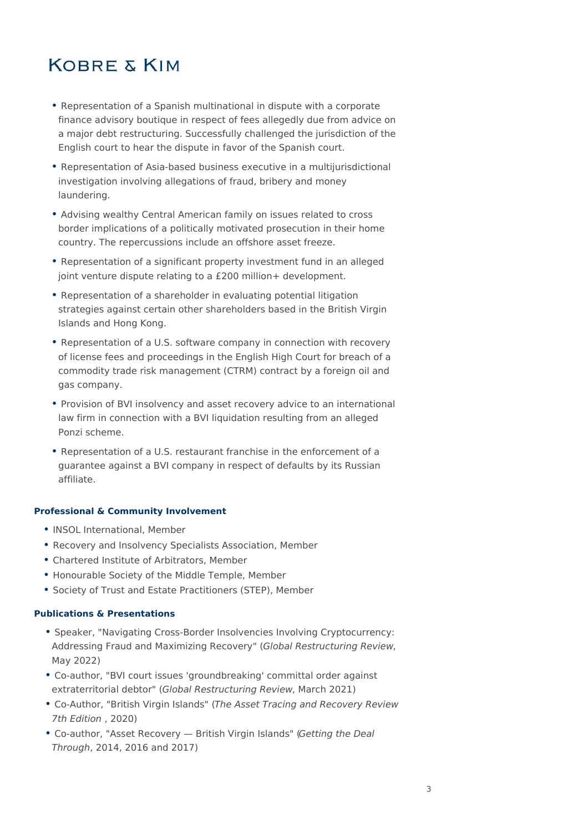- Representation of a Spanish multinational in dispute with a corporate finance advisory boutique in respect of fees allegedly due from advice on a major debt restructuring. Successfully challenged the jurisdiction of the English court to hear the dispute in favor of the Spanish court.
- Representation of Asia-based business executive in a multijurisdictional investigation involving allegations of fraud, bribery and money laundering.
- Advising wealthy Central American family on issues related to cross border implications of a politically motivated prosecution in their home country. The repercussions include an offshore asset freeze.
- Representation of a significant property investment fund in an alleged joint venture dispute relating to a £200 million+ development.
- Representation of a shareholder in evaluating potential litigation strategies against certain other shareholders based in the British Virgin Islands and Hong Kong.
- Representation of a U.S. software company in connection with recovery of license fees and proceedings in the English High Court for breach of a commodity trade risk management (CTRM) contract by a foreign oil and gas company.
- Provision of BVI insolvency and asset recovery advice to an international law firm in connection with a BVI liquidation resulting from an alleged Ponzi scheme.
- Representation of a U.S. restaurant franchise in the enforcement of a guarantee against a BVI company in respect of defaults by its Russian affiliate.

### **Professional & Community Involvement**

- INSOL International, Member
- Recovery and Insolvency Specialists Association, Member
- Chartered Institute of Arbitrators, Member
- Honourable Society of the Middle Temple, Member
- Society of Trust and Estate Practitioners (STEP), Member

### **Publications & Presentations**

- Speaker, "Navigating Cross-Border Insolvencies Involving Cryptocurrency: Addressing Fraud and Maximizing Recovery" (Global Restructuring Review, May 2022)
- Co-author, "BVI court issues 'groundbreaking' committal order against extraterritorial debtor" (Global Restructuring Review, March 2021)
- Co-Author, "British Virgin Islands" (The Asset Tracing and Recovery Review 7th Edition , 2020)
- Co-author, "Asset Recovery British Virgin Islands" (Getting the Deal Through, 2014, 2016 and 2017)